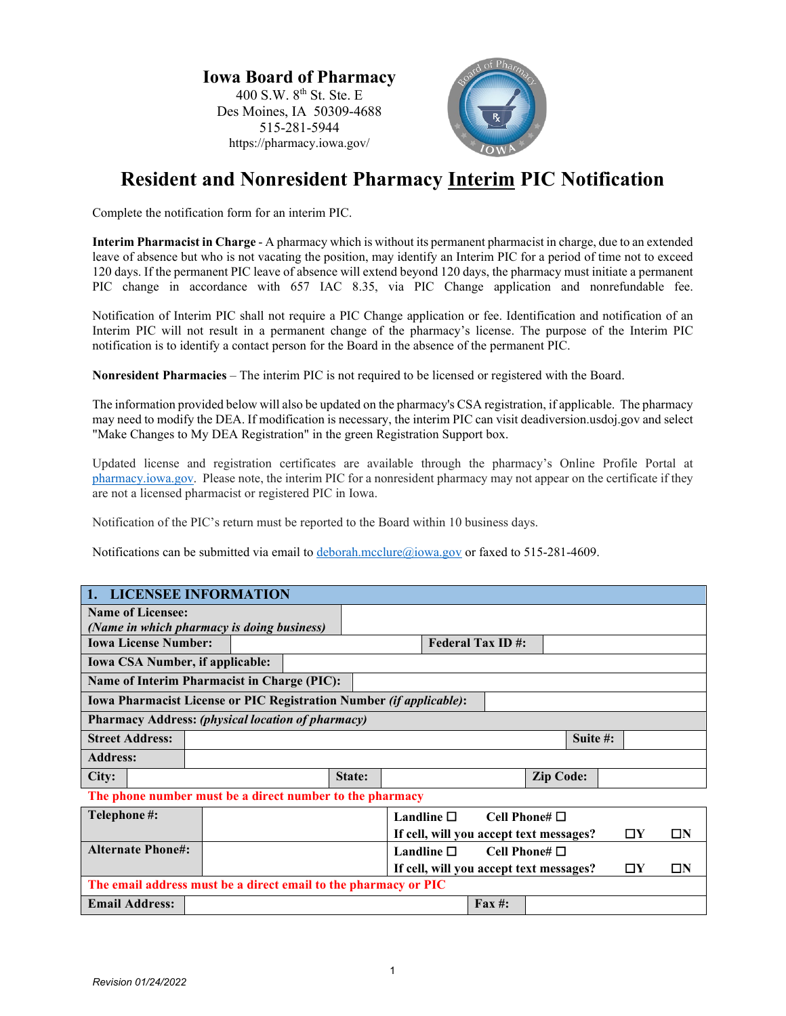**Iowa Board of Pharmacy** 400 S.W. 8<sup>th</sup> St. Ste. E Des Moines, IA 50309-4688 515-281-5944 https://pharmacy.iowa.gov/



## **Resident and Nonresident Pharmacy Interim PIC Notification**

Complete the notification form for an interim PIC.

**Interim Pharmacist in Charge** - A pharmacy which is without its permanent pharmacist in charge, due to an extended leave of absence but who is not vacating the position, may identify an Interim PIC for a period of time not to exceed 120 days. If the permanent PIC leave of absence will extend beyond 120 days, the pharmacy must initiate a permanent PIC change in accordance with 657 IAC 8.35, via PIC Change application and nonrefundable fee.

Notification of Interim PIC shall not require a PIC Change application or fee. Identification and notification of an Interim PIC will not result in a permanent change of the pharmacy's license. The purpose of the Interim PIC notification is to identify a contact person for the Board in the absence of the permanent PIC.

**Nonresident Pharmacies** – The interim PIC is not required to be licensed or registered with the Board.

The information provided below will also be updated on the pharmacy's CSA registration, if applicable. The pharmacy may need to modify the DEA. If modification is necessary, the interim PIC can visit deadiversion.usdoj.gov and select "Make Changes to My DEA Registration" in the green Registration Support box.

Updated license and registration certificates are available through the pharmacy's Online Profile Portal at [pharmacy.iowa.gov.](https://pharmacy.iowa.gov/) Please note, the interim PIC for a nonresident pharmacy may not appear on the certificate if they are not a licensed pharmacist or registered PIC in Iowa.

Notification of the PIC's return must be reported to the Board within 10 business days.

Notifications can be submitted via email t[o deborah.mcclure@iowa.gov](mailto:deborah.mcclure@iowa.gov) or faxed to 515-281-4609.

| 1. LICENSEE INFORMATION                                             |  |  |  |        |                                                                    |                         |                                         |                    |          |             |  |          |
|---------------------------------------------------------------------|--|--|--|--------|--------------------------------------------------------------------|-------------------------|-----------------------------------------|--------------------|----------|-------------|--|----------|
| <b>Name of Licensee:</b>                                            |  |  |  |        |                                                                    |                         |                                         |                    |          |             |  |          |
| (Name in which pharmacy is doing business)                          |  |  |  |        |                                                                    |                         |                                         |                    |          |             |  |          |
| <b>Iowa License Number:</b>                                         |  |  |  |        |                                                                    | <b>Federal Tax ID#:</b> |                                         |                    |          |             |  |          |
| <b>Iowa CSA Number, if applicable:</b>                              |  |  |  |        |                                                                    |                         |                                         |                    |          |             |  |          |
| <b>Name of Interim Pharmacist in Charge (PIC):</b>                  |  |  |  |        |                                                                    |                         |                                         |                    |          |             |  |          |
| Iowa Pharmacist License or PIC Registration Number (if applicable): |  |  |  |        |                                                                    |                         |                                         |                    |          |             |  |          |
| <b>Pharmacy Address: (physical location of pharmacy)</b>            |  |  |  |        |                                                                    |                         |                                         |                    |          |             |  |          |
| <b>Street Address:</b>                                              |  |  |  |        |                                                                    |                         |                                         |                    | Suite #: |             |  |          |
| <b>Address:</b>                                                     |  |  |  |        |                                                                    |                         |                                         |                    |          |             |  |          |
| City:                                                               |  |  |  | State: |                                                                    |                         |                                         | <b>Zip Code:</b>   |          |             |  |          |
| The phone number must be a direct number to the pharmacy            |  |  |  |        |                                                                    |                         |                                         |                    |          |             |  |          |
| Telephone #:                                                        |  |  |  |        |                                                                    | Landline $\square$      |                                         | Cell Phone# $\Box$ |          |             |  |          |
|                                                                     |  |  |  |        |                                                                    |                         | If cell, will you accept text messages? |                    |          | $\square Y$ |  | $\Box N$ |
| <b>Alternate Phone#:</b>                                            |  |  |  |        |                                                                    | Landline $\square$      |                                         | Cell Phone# $\Box$ |          |             |  |          |
|                                                                     |  |  |  |        | If cell, will you accept text messages?<br>$\square Y$<br>$\Box N$ |                         |                                         |                    |          |             |  |          |
| The email address must be a direct email to the pharmacy or PIC     |  |  |  |        |                                                                    |                         |                                         |                    |          |             |  |          |
| <b>Email Address:</b>                                               |  |  |  |        |                                                                    |                         | $\mathbf{Fax} \; \text{#}:$             |                    |          |             |  |          |